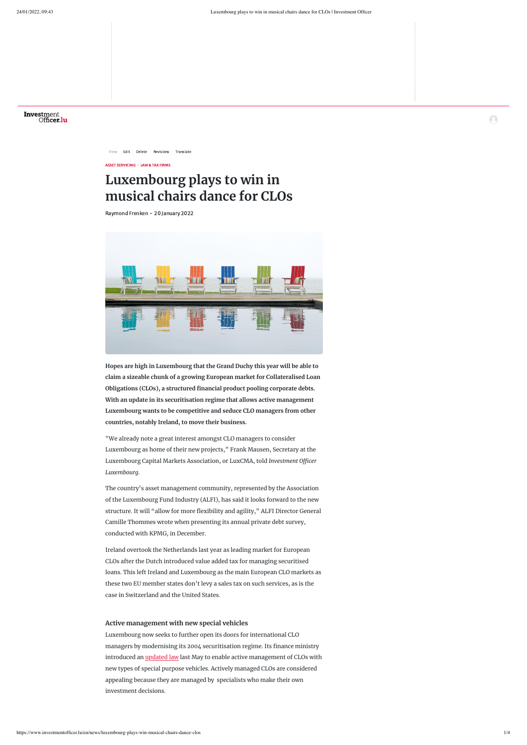

[View](https://www.investmentofficer.lu/en/news/luxembourg-plays-win-musical-chairs-dance-clos) [Edit](https://www.investmentofficer.lu/en/node/3936/edit) [Delete](https://www.investmentofficer.lu/en/node/3936/delete) [Revisions](https://www.investmentofficer.lu/en/node/3936/revisions) [Translate](https://www.investmentofficer.lu/en/node/3936/translations)

ASSET SERVICING · LAW & TAX FIRMS

# **Luxembourg plays to win in musical chairs dance for CLOs**

Raymond Frenken - 20 January 2022



**Hopes are high in Luxembourg that the Grand Duchy this year will be able to claim a sizeable chunk of a growing European market for Collateralised Loan Obligations (CLOs), a structured financial product pooling corporate debts. With an update in its securitisation regime that allows active management Luxembourg wants to be competitive and seduce CLO managers from other countries, notably Ireland, to move their business.**

"We already note a great interest amongst CLO managers to consider Luxembourg as home of their new projects," Frank Mausen, Secretary at the Luxembourg Capital Markets Association, or LuxCMA, told *Investment Officer Luxembourg*.

The country's asset management community, represented by the Association of the Luxembourg Fund Industry (ALFI), has said it looks forward to the new structure. It will "allow for more flexibility and agility," ALFI Director General Camille Thommes wrote when presenting its annual private debt survey, conducted with KPMG, in December.

Ireland overtook the Netherlands last year as leading market for European CLOs after the Dutch introduced value added tax for managing securitised

loans. This left Ireland and Luxembourg as the main European CLO markets as these two EU member states don't levy a sales tax on such services, as is the case in Switzerland and the United States.

## **Active management with new special vehicles**

Luxembourg now seeks to further open its doors for international CLO managers by modernising its 2004 securitisation regime. Its finance ministry introduced an *updated law* last May to enable active management of CLOs with new types of special purpose vehicles. Actively managed CLOs are considered appealing because they are managed by specialists who make their own investment decisions.